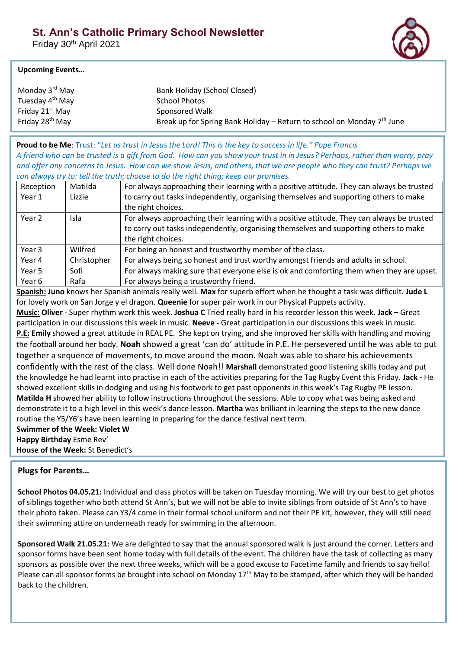Friday 30th April 2021



### **Upcoming Events…**

| Monday 3 <sup>rd</sup> May  | Bank Holiday (School Closed)                                           |
|-----------------------------|------------------------------------------------------------------------|
| Tuesday 4 <sup>th</sup> May | School Photos                                                          |
| Friday 21 <sup>st</sup> May | Sponsored Walk                                                         |
| Friday 28 <sup>th</sup> May | Break up for Spring Bank Holiday – Return to school on Monday 7th June |

**Proud to be Me**: Trust: "*Let us trust in Jesus the Lord! This is the key to success in life." Pope Francis A friend who can be trusted is a gift from God. How can you show your trust in in Jesus? Perhaps, rather than worry, pray and offer any concerns to Jesus. How can we show Jesus, and others, that we are people who they can trust? Perhaps we can always try to: tell the truth; choose to do the right thing; keep our promises.*

| Reception | Matilda     | For always approaching their learning with a positive attitude. They can always be trusted |
|-----------|-------------|--------------------------------------------------------------------------------------------|
| Year 1    | Lizzie      | to carry out tasks independently, organising themselves and supporting others to make      |
|           |             | the right choices.                                                                         |
| Year 2    | Isla        | For always approaching their learning with a positive attitude. They can always be trusted |
|           |             | to carry out tasks independently, organising themselves and supporting others to make      |
|           |             | the right choices.                                                                         |
| Year 3    | Wilfred     | For being an honest and trustworthy member of the class.                                   |
| Year 4    | Christopher | For always being so honest and trust worthy amongst friends and adults in school.          |
| Year 5    | Sofi        | For always making sure that everyone else is ok and comforting them when they are upset.   |
| Year 6    | Rafa        | For always being a trustworthy friend.                                                     |

**Spanish: Juno** knows her Spanish animals really well. **Max** for superb effort when he thought a task was difficult. **Jude L**  for lovely work on San Jorge y el dragon. **Queenie** for super pair work in our Physical Puppets activity. **Music**: **Oliver** - Super rhythm work this week. **Joshua C** Tried really hard in his recorder lesson this week. **Jack –** Great participation in our discussions this week in music. **Neeve -** Great participation in our discussions this week in music.

**P.E: Emily** showed a great attitude in REAL PE. She kept on trying, and she improved her skills with handling and moving the football around her body. **Noah** showed a great 'can do' attitude in P.E. He persevered until he was able to put together a sequence of movements, to move around the moon. Noah was able to share his achievements confidently with the rest of the class. Well done Noah!! **Marshall** demonstrated good listening skills today and put the knowledge he had learnt into practise in each of the activities preparing for the Tag Rugby Event this Friday. **Jack -** He showed excellent skills in dodging and using his footwork to get past opponents in this week's Tag Rugby PE lesson. **Matilda H** showed her ability to follow instructions throughout the sessions. Able to copy what was being asked and demonstrate it to a high level in this week's dance lesson. **Martha** was brilliant in learning the steps to the new dance routine the Y5/Y6's have been learning in preparing for the dance festival next term.

# **Swimmer of the Week: Violet W**

**Happy Birthday** Esme Rev'

**House of the Week:** St Benedict's

# **Plugs for Parents…**

**School Photos 04.05.21:** Individual and class photos will be taken on Tuesday morning. We will try our best to get photos of siblings together who both attend St Ann's, but we will not be able to invite siblings from outside of St Ann's to have their photo taken. Please can Y3/4 come in their formal school uniform and not their PE kit, however, they will still need their swimming attire on underneath ready for swimming in the afternoon.

**Sponsored Walk 21.05.21:** We are delighted to say that the annual sponsored walk is just around the corner. Letters and sponsor forms have been sent home today with full details of the event. The children have the task of collecting as many sponsors as possible over the next three weeks, which will be a good excuse to Facetime family and friends to say hello! Please can all sponsor forms be brought into school on Monday  $17<sup>th</sup>$  May to be stamped, after which they will be handed back to the children.